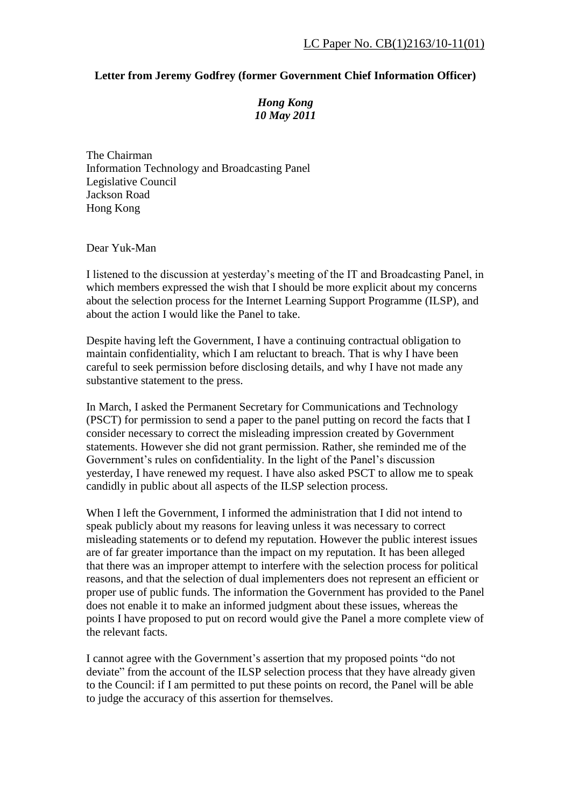## **Letter from Jeremy Godfrey (former Government Chief Information Officer)**

## *Hong Kong 10 May 2011*

The Chairman Information Technology and Broadcasting Panel Legislative Council Jackson Road Hong Kong

Dear Yuk-Man

I listened to the discussion at yesterday's meeting of the IT and Broadcasting Panel, in which members expressed the wish that I should be more explicit about my concerns about the selection process for the Internet Learning Support Programme (ILSP), and about the action I would like the Panel to take.

Despite having left the Government, I have a continuing contractual obligation to maintain confidentiality, which I am reluctant to breach. That is why I have been careful to seek permission before disclosing details, and why I have not made any substantive statement to the press.

In March, I asked the Permanent Secretary for Communications and Technology (PSCT) for permission to send a paper to the panel putting on record the facts that I consider necessary to correct the misleading impression created by Government statements. However she did not grant permission. Rather, she reminded me of the Government's rules on confidentiality. In the light of the Panel's discussion yesterday, I have renewed my request. I have also asked PSCT to allow me to speak candidly in public about all aspects of the ILSP selection process.

When I left the Government, I informed the administration that I did not intend to speak publicly about my reasons for leaving unless it was necessary to correct misleading statements or to defend my reputation. However the public interest issues are of far greater importance than the impact on my reputation. It has been alleged that there was an improper attempt to interfere with the selection process for political reasons, and that the selection of dual implementers does not represent an efficient or proper use of public funds. The information the Government has provided to the Panel does not enable it to make an informed judgment about these issues, whereas the points I have proposed to put on record would give the Panel a more complete view of the relevant facts.

I cannot agree with the Government's assertion that my proposed points "do not deviate" from the account of the ILSP selection process that they have already given to the Council: if I am permitted to put these points on record, the Panel will be able to judge the accuracy of this assertion for themselves.